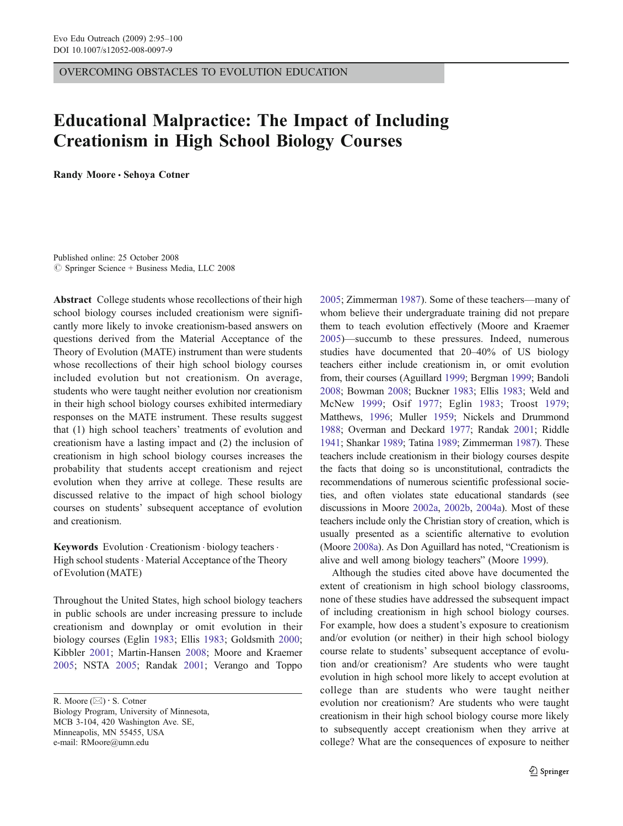OVERCOMING OBSTACLES TO EVOLUTION EDUCATION

# Educational Malpractice: The Impact of Including Creationism in High School Biology Courses

Randy Moore . Sehoya Cotner

Published online: 25 October 2008  $\oslash$  Springer Science + Business Media, LLC 2008

Abstract College students whose recollections of their high school biology courses included creationism were significantly more likely to invoke creationism-based answers on questions derived from the Material Acceptance of the Theory of Evolution (MATE) instrument than were students whose recollections of their high school biology courses included evolution but not creationism. On average, students who were taught neither evolution nor creationism in their high school biology courses exhibited intermediary responses on the MATE instrument. These results suggest that (1) high school teachers' treatments of evolution and creationism have a lasting impact and (2) the inclusion of creationism in high school biology courses increases the probability that students accept creationism and reject evolution when they arrive at college. These results are discussed relative to the impact of high school biology courses on students' subsequent acceptance of evolution and creationism.

Keywords Evolution Creationism biology teachers. High school students  $\cdot$  Material Acceptance of the Theory of Evolution (MATE)

Throughout the United States, high school biology teachers in public schools are under increasing pressure to include creationism and downplay or omit evolution in their biology courses (Eglin [1983;](#page-4-0) Ellis [1983;](#page-4-0) Goldsmith [2000](#page-4-0); Kibbler [2001;](#page-4-0) Martin-Hansen [2008](#page-5-0); Moore and Kraemer [2005](#page-5-0); NSTA [2005;](#page-5-0) Randak [2001;](#page-5-0) Verango and Toppo

R. Moore (*\**) *:* S. Cotner Biology Program, University of Minnesota, MCB 3-104, 420 Washington Ave. SE, Minneapolis, MN 55455, USA e-mail: RMoore@umn.edu

[2005](#page-5-0); Zimmerman [1987\)](#page-5-0). Some of these teachers—many of whom believe their undergraduate training did not prepare them to teach evolution effectively (Moore and Kraemer [2005](#page-5-0))—succumb to these pressures. Indeed, numerous studies have documented that 20–40% of US biology teachers either include creationism in, or omit evolution from, their courses (Aguillard [1999;](#page-4-0) Bergman [1999](#page-4-0); Bandoli [2008;](#page-4-0) Bowman [2008;](#page-4-0) Buckner [1983;](#page-4-0) Ellis [1983;](#page-4-0) Weld and McNew [1999;](#page-5-0) Osif [1977](#page-5-0); Eglin [1983;](#page-4-0) Troost [1979;](#page-5-0) Matthews, [1996;](#page-5-0) Muller [1959;](#page-5-0) Nickels and Drummond [1988;](#page-5-0) Overman and Deckard [1977;](#page-5-0) Randak [2001](#page-5-0); Riddle [1941;](#page-5-0) Shankar [1989](#page-5-0); Tatina [1989](#page-5-0); Zimmerman [1987\)](#page-5-0). These teachers include creationism in their biology courses despite the facts that doing so is unconstitutional, contradicts the recommendations of numerous scientific professional societies, and often violates state educational standards (see discussions in Moore [2002a,](#page-5-0) [2002b](#page-5-0), [2004a](#page-5-0)). Most of these teachers include only the Christian story of creation, which is usually presented as a scientific alternative to evolution (Moore [2008a\)](#page-5-0). As Don Aguillard has noted, "Creationism is alive and well among biology teachers" (Moore [1999\)](#page-5-0).

Although the studies cited above have documented the extent of creationism in high school biology classrooms, none of these studies have addressed the subsequent impact of including creationism in high school biology courses. For example, how does a student's exposure to creationism and/or evolution (or neither) in their high school biology course relate to students' subsequent acceptance of evolution and/or creationism? Are students who were taught evolution in high school more likely to accept evolution at college than are students who were taught neither evolution nor creationism? Are students who were taught creationism in their high school biology course more likely to subsequently accept creationism when they arrive at college? What are the consequences of exposure to neither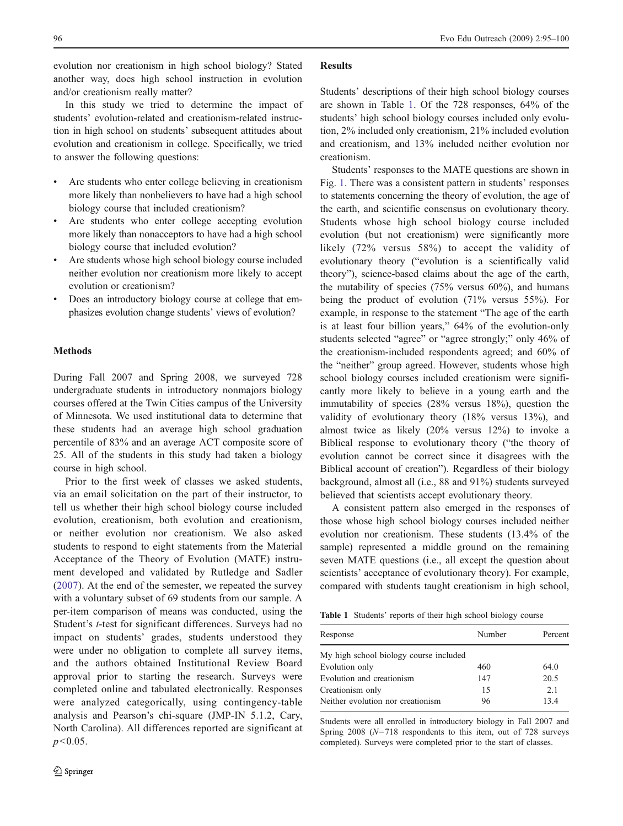<span id="page-1-0"></span>evolution nor creationism in high school biology? Stated another way, does high school instruction in evolution and/or creationism really matter?

In this study we tried to determine the impact of students' evolution-related and creationism-related instruction in high school on students' subsequent attitudes about evolution and creationism in college. Specifically, we tried to answer the following questions:

- Are students who enter college believing in creationism more likely than nonbelievers to have had a high school biology course that included creationism?
- Are students who enter college accepting evolution more likely than nonacceptors to have had a high school biology course that included evolution?
- Are students whose high school biology course included neither evolution nor creationism more likely to accept evolution or creationism?
- Does an introductory biology course at college that emphasizes evolution change students' views of evolution?

## Methods

During Fall 2007 and Spring 2008, we surveyed 728 undergraduate students in introductory nonmajors biology courses offered at the Twin Cities campus of the University of Minnesota. We used institutional data to determine that these students had an average high school graduation percentile of 83% and an average ACT composite score of 25. All of the students in this study had taken a biology course in high school.

Prior to the first week of classes we asked students, via an email solicitation on the part of their instructor, to tell us whether their high school biology course included evolution, creationism, both evolution and creationism, or neither evolution nor creationism. We also asked students to respond to eight statements from the Material Acceptance of the Theory of Evolution (MATE) instrument developed and validated by Rutledge and Sadler [\(2007\)](#page-5-0). At the end of the semester, we repeated the survey with a voluntary subset of 69 students from our sample. A per-item comparison of means was conducted, using the Student's t-test for significant differences. Surveys had no impact on students' grades, students understood they were under no obligation to complete all survey items, and the authors obtained Institutional Review Board approval prior to starting the research. Surveys were completed online and tabulated electronically. Responses were analyzed categorically, using contingency-table analysis and Pearson's chi-square (JMP-IN 5.1.2, Cary, North Carolina). All differences reported are significant at  $p<0.05$ .

## Results

Students' descriptions of their high school biology courses are shown in Table 1. Of the 728 responses, 64% of the students' high school biology courses included only evolution, 2% included only creationism, 21% included evolution and creationism, and 13% included neither evolution nor creationism.

Students' responses to the MATE questions are shown in Fig. [1](#page-2-0). There was a consistent pattern in students' responses to statements concerning the theory of evolution, the age of the earth, and scientific consensus on evolutionary theory. Students whose high school biology course included evolution (but not creationism) were significantly more likely (72% versus 58%) to accept the validity of evolutionary theory ("evolution is a scientifically valid theory"), science-based claims about the age of the earth, the mutability of species (75% versus 60%), and humans being the product of evolution (71% versus 55%). For example, in response to the statement "The age of the earth is at least four billion years," 64% of the evolution-only students selected "agree" or "agree strongly;" only 46% of the creationism-included respondents agreed; and 60% of the "neither" group agreed. However, students whose high school biology courses included creationism were significantly more likely to believe in a young earth and the immutability of species (28% versus 18%), question the validity of evolutionary theory (18% versus 13%), and almost twice as likely (20% versus 12%) to invoke a Biblical response to evolutionary theory ("the theory of evolution cannot be correct since it disagrees with the Biblical account of creation"). Regardless of their biology background, almost all (i.e., 88 and 91%) students surveyed believed that scientists accept evolutionary theory.

A consistent pattern also emerged in the responses of those whose high school biology courses included neither evolution nor creationism. These students (13.4% of the sample) represented a middle ground on the remaining seven MATE questions (i.e., all except the question about scientists' acceptance of evolutionary theory). For example, compared with students taught creationism in high school,

Table 1 Students' reports of their high school biology course

| Number | Percent |
|--------|---------|
|        |         |
| 460    | 64.0    |
| 147    | 20.5    |
| 15     | 2.1     |
| 96     | 13.4    |
|        |         |

Students were all enrolled in introductory biology in Fall 2007 and Spring 2008 ( $N=718$  respondents to this item, out of 728 surveys completed). Surveys were completed prior to the start of classes.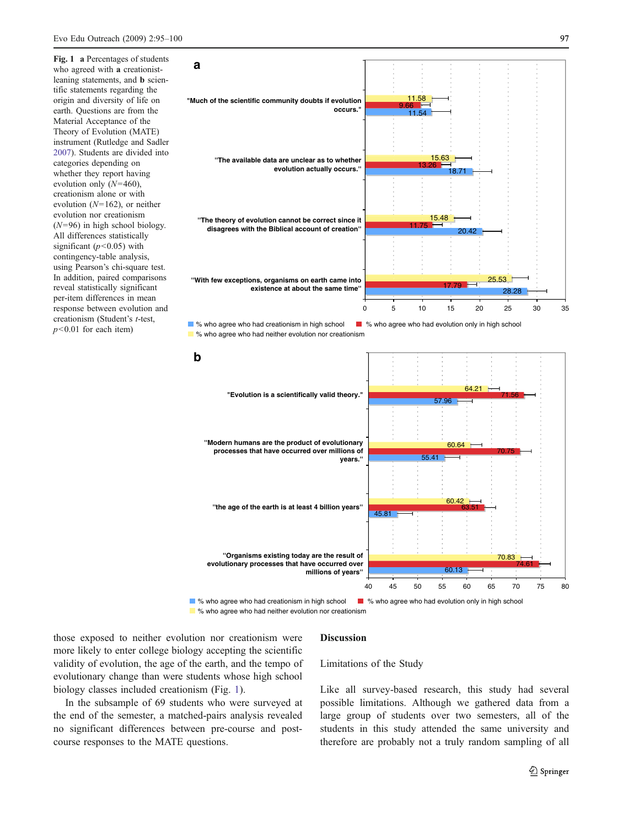<span id="page-2-0"></span>Fig. 1 a Percentages of students who agreed with a creationistleaning statements, and b scientific statements regarding the origin and diversity of life on earth. Questions are from the Material Acceptance of the Theory of Evolution (MATE) instrument (Rutledge and Sadler [2007](#page-5-0)). Students are divided into categories depending on whether they report having evolution only  $(N=460)$ , creationism alone or with evolution  $(N=162)$ , or neither evolution nor creationism  $(N=96)$  in high school biology. All differences statistically significant ( $p$ <0.05) with contingency-table analysis, using Pearson's chi-square test. In addition, paired comparisons reveal statistically significant per-item differences in mean response between evolution and creationism (Student's t-test,  $p<0.01$  for each item)



■ % who agree who had creationism in high school ■ % who agree who had evolution only in high school **E** % who agree who had neither evolution nor creationism



**Now the agree who had creationism in high school CO** who agree who had evolution only in high school **W** % who agree who had neither evolution nor creationism

those exposed to neither evolution nor creationism were more likely to enter college biology accepting the scientific validity of evolution, the age of the earth, and the tempo of evolutionary change than were students whose high school biology classes included creationism (Fig. 1).

In the subsample of 69 students who were surveyed at the end of the semester, a matched-pairs analysis revealed no significant differences between pre-course and postcourse responses to the MATE questions.

## Discussion

#### Limitations of the Study

Like all survey-based research, this study had several possible limitations. Although we gathered data from a large group of students over two semesters, all of the students in this study attended the same university and therefore are probably not a truly random sampling of all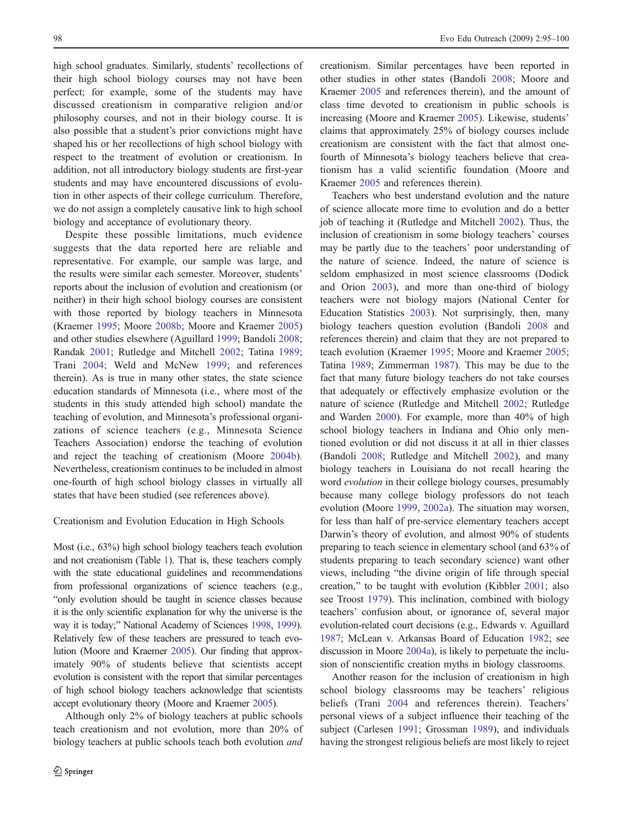high school graduates. Similarly, students' recollections of their high school biology courses may not have been perfect; for example, some of the students may have discussed creationism in comparative religion and/or philosophy courses, and not in their biology course. It is also possible that a student's prior convictions might have shaped his or her recollections of high school biology with respect to the treatment of evolution or creationism. In addition, not all introductory biology students are first-year students and may have encountered discussions of evolution in other aspects of their college curriculum. Therefore, we do not assign a completely causative link to high school biology and acceptance of evolutionary theory.

Despite these possible limitations, much evidence suggests that the data reported here are reliable and representative. For example, our sample was large, and the results were similar each semester. Moreover, students' reports about the inclusion of evolution and creationism (or neither) in their high school biology courses are consistent with those reported by biology teachers in Minnesota (Kraemer [1995](#page-4-0); Moore [2008b;](#page-5-0) Moore and Kraemer [2005\)](#page-5-0) and other studies elsewhere (Aguillard [1999](#page-4-0); Bandoli [2008](#page-4-0); Randak [2001;](#page-5-0) Rutledge and Mitchell [2002](#page-5-0); Tatina [1989](#page-5-0); Trani [2004;](#page-5-0) Weld and McNew [1999](#page-5-0); and references therein). As is true in many other states, the state science education standards of Minnesota (i.e., where most of the students in this study attended high school) mandate the teaching of evolution, and Minnesota's professional organizations of science teachers (e.g., Minnesota Science Teachers Association) endorse the teaching of evolution and reject the teaching of creationism (Moore [2004b](#page-5-0)). Nevertheless, creationism continues to be included in almost one-fourth of high school biology classes in virtually all states that have been studied (see references above).

# Creationism and Evolution Education in High Schools

Most (i.e., 63%) high school biology teachers teach evolution and not creationism (Table [1](#page-1-0)). That is, these teachers comply with the state educational guidelines and recommendations from professional organizations of science teachers (e.g., "only evolution should be taught in science classes because it is the only scientific explanation for why the universe is the way it is today;" National Academy of Sciences [1998](#page-5-0), [1999\)](#page-5-0). Relatively few of these teachers are pressured to teach evolution (Moore and Kraemer [2005\)](#page-5-0). Our finding that approximately 90% of students believe that scientists accept evolution is consistent with the report that similar percentages of high school biology teachers acknowledge that scientists accept evolutionary theory (Moore and Kraemer [2005\)](#page-5-0).

Although only 2% of biology teachers at public schools teach creationism and not evolution, more than 20% of biology teachers at public schools teach both evolution and

creationism. Similar percentages have been reported in other studies in other states (Bandoli [2008](#page-4-0); Moore and Kraemer [2005](#page-5-0) and references therein), and the amount of class time devoted to creationism in public schools is increasing (Moore and Kraemer [2005\)](#page-5-0). Likewise, students' claims that approximately 25% of biology courses include creationism are consistent with the fact that almost onefourth of Minnesota's biology teachers believe that creationism has a valid scientific foundation (Moore and Kraemer [2005](#page-5-0) and references therein).

Teachers who best understand evolution and the nature of science allocate more time to evolution and do a better job of teaching it (Rutledge and Mitchell [2002](#page-5-0)). Thus, the inclusion of creationism in some biology teachers' courses may be partly due to the teachers' poor understanding of the nature of science. Indeed, the nature of science is seldom emphasized in most science classrooms (Dodick and Orion [2003\)](#page-4-0), and more than one-third of biology teachers were not biology majors (National Center for Education Statistics [2003](#page-5-0)). Not surprisingly, then, many biology teachers question evolution (Bandoli [2008](#page-4-0) and references therein) and claim that they are not prepared to teach evolution (Kraemer [1995](#page-4-0); Moore and Kraemer [2005;](#page-5-0) Tatina [1989;](#page-5-0) Zimmerman [1987\)](#page-5-0). This may be due to the fact that many future biology teachers do not take courses that adequately or effectively emphasize evolution or the nature of science (Rutledge and Mitchell [2002](#page-5-0); Rutledge and Warden [2000](#page-5-0)). For example, more than 40% of high school biology teachers in Indiana and Ohio only mentioned evolution or did not discuss it at all in thier classes (Bandoli [2008;](#page-4-0) Rutledge and Mitchell [2002](#page-5-0)), and many biology teachers in Louisiana do not recall hearing the word evolution in their college biology courses, presumably because many college biology professors do not teach evolution (Moore [1999](#page-5-0), [2002a](#page-5-0)). The situation may worsen, for less than half of pre-service elementary teachers accept Darwin's theory of evolution, and almost 90% of students preparing to teach science in elementary school (and 63% of students preparing to teach secondary science) want other views, including "the divine origin of life through special creation," to be taught with evolution (Kibbler [2001](#page-4-0); also see Troost [1979](#page-5-0)). This inclination, combined with biology teachers' confusion about, or ignorance of, several major evolution-related court decisions (e.g., Edwards v. Aguillard [1987;](#page-4-0) McLean v. Arkansas Board of Education [1982;](#page-5-0) see discussion in Moore [2004a](#page-5-0)), is likely to perpetuate the inclusion of nonscientific creation myths in biology classrooms.

Another reason for the inclusion of creationism in high school biology classrooms may be teachers' religious beliefs (Trani [2004](#page-5-0) and references therein). Teachers' personal views of a subject influence their teaching of the subject (Carlesen [1991](#page-4-0); Grossman [1989\)](#page-4-0), and individuals having the strongest religious beliefs are most likely to reject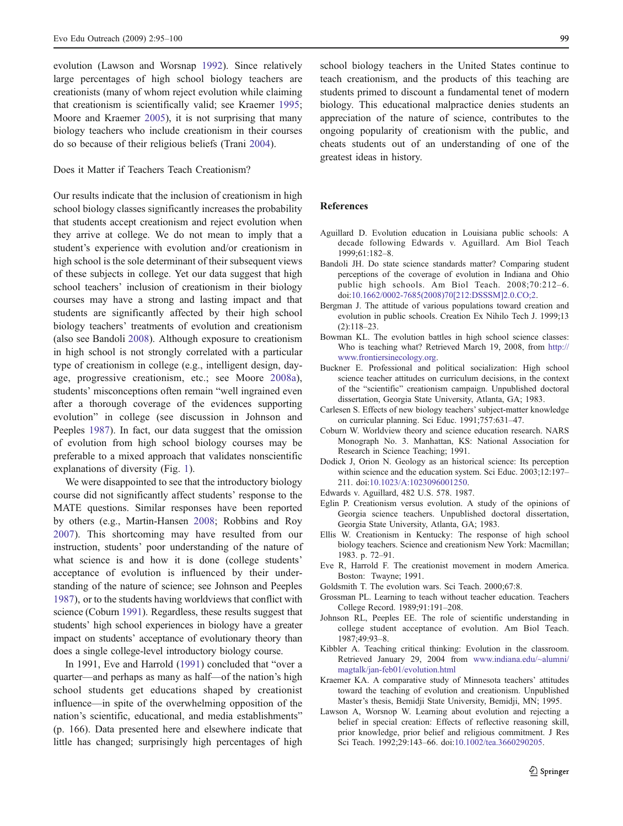<span id="page-4-0"></span>evolution (Lawson and Worsnap 1992). Since relatively large percentages of high school biology teachers are creationists (many of whom reject evolution while claiming that creationism is scientifically valid; see Kraemer 1995; Moore and Kraemer [2005](#page-5-0)), it is not surprising that many biology teachers who include creationism in their courses do so because of their religious beliefs (Trani [2004\)](#page-5-0).

## Does it Matter if Teachers Teach Creationism?

Our results indicate that the inclusion of creationism in high school biology classes significantly increases the probability that students accept creationism and reject evolution when they arrive at college. We do not mean to imply that a student's experience with evolution and/or creationism in high school is the sole determinant of their subsequent views of these subjects in college. Yet our data suggest that high school teachers' inclusion of creationism in their biology courses may have a strong and lasting impact and that students are significantly affected by their high school biology teachers' treatments of evolution and creationism (also see Bandoli 2008). Although exposure to creationism in high school is not strongly correlated with a particular type of creationism in college (e.g., intelligent design, dayage, progressive creationism, etc.; see Moore [2008a](#page-5-0)), students' misconceptions often remain "well ingrained even after a thorough coverage of the evidences supporting evolution" in college (see discussion in Johnson and Peeples 1987). In fact, our data suggest that the omission of evolution from high school biology courses may be preferable to a mixed approach that validates nonscientific explanations of diversity (Fig. [1\)](#page-2-0).

We were disappointed to see that the introductory biology course did not significantly affect students' response to the MATE questions. Similar responses have been reported by others (e.g., Martin-Hansen [2008](#page-5-0); Robbins and Roy [2007](#page-5-0)). This shortcoming may have resulted from our instruction, students' poor understanding of the nature of what science is and how it is done (college students' acceptance of evolution is influenced by their understanding of the nature of science; see Johnson and Peeples 1987), or to the students having worldviews that conflict with science (Coburn 1991). Regardless, these results suggest that students' high school experiences in biology have a greater impact on students' acceptance of evolutionary theory than does a single college-level introductory biology course.

In 1991, Eve and Harrold (1991) concluded that "over a quarter—and perhaps as many as half—of the nation's high school students get educations shaped by creationist influence—in spite of the overwhelming opposition of the nation's scientific, educational, and media establishments" (p. 166). Data presented here and elsewhere indicate that little has changed; surprisingly high percentages of high school biology teachers in the United States continue to teach creationism, and the products of this teaching are students primed to discount a fundamental tenet of modern biology. This educational malpractice denies students an appreciation of the nature of science, contributes to the ongoing popularity of creationism with the public, and cheats students out of an understanding of one of the greatest ideas in history.

### References

- Aguillard D. Evolution education in Louisiana public schools: A decade following Edwards v. Aguillard. Am Biol Teach 1999;61:182–8.
- Bandoli JH. Do state science standards matter? Comparing student perceptions of the coverage of evolution in Indiana and Ohio public high schools. Am Biol Teach. 2008;70:212–6. doi[:10.1662/0002-7685\(2008\)70\[212:DSSSM\]2.0.CO;2.](dx.doi.org/10.1662/0002-7685(2008)70<212:DSSSM>2.0.CO;2)
- Bergman J. The attitude of various populations toward creation and evolution in public schools. Creation Ex Nihilo Tech J. 1999;13 (2):118–23.
- Bowman KL. The evolution battles in high school science classes: Who is teaching what? Retrieved March 19, 2008, from [http://](http://www.frontiersinecology.org) [www.frontiersinecology.org](http://www.frontiersinecology.org).
- Buckner E. Professional and political socialization: High school science teacher attitudes on curriculum decisions, in the context of the "scientific" creationism campaign. Unpublished doctoral dissertation, Georgia State University, Atlanta, GA; 1983.
- Carlesen S. Effects of new biology teachers' subject-matter knowledge on curricular planning. Sci Educ. 1991;757:631–47.
- Coburn W. Worldview theory and science education research. NARS Monograph No. 3. Manhattan, KS: National Association for Research in Science Teaching; 1991.
- Dodick J, Orion N. Geology as an historical science: Its perception within science and the education system. Sci Educ. 2003;12:197– 211. doi:[10.1023/A:1023096001250.](dx.doi.org/10.1023/A:1023096001250)
- Edwards v. Aguillard, 482 U.S. 578. 1987.
- Eglin P. Creationism versus evolution. A study of the opinions of Georgia science teachers. Unpublished doctoral dissertation, Georgia State University, Atlanta, GA; 1983.
- Ellis W. Creationism in Kentucky: The response of high school biology teachers. Science and creationism New York: Macmillan; 1983. p. 72–91.
- Eve R, Harrold F. The creationist movement in modern America. Boston: Twayne; 1991.
- Goldsmith T. The evolution wars. Sci Teach. 2000;67:8.
- Grossman PL. Learning to teach without teacher education. Teachers College Record. 1989;91:191–208.
- Johnson RL, Peeples EE. The role of scientific understanding in college student acceptance of evolution. Am Biol Teach. 1987;49:93–8.
- Kibbler A. Teaching critical thinking: Evolution in the classroom. Retrieved January 29, 2004 from [www.indiana.edu/~alumni/](http://www.indiana.edu/~alumni/magtalk/jan-feb01/evolution.html) [magtalk/jan-feb01/evolution.html](http://www.indiana.edu/~alumni/magtalk/jan-feb01/evolution.html)
- Kraemer KA. A comparative study of Minnesota teachers' attitudes toward the teaching of evolution and creationism. Unpublished Master's thesis, Bemidji State University, Bemidji, MN; 1995.
- Lawson A, Worsnop W. Learning about evolution and rejecting a belief in special creation: Effects of reflective reasoning skill, prior knowledge, prior belief and religious commitment. J Res Sci Teach. 1992;29:143–66. doi:[10.1002/tea.3660290205.](dx.doi.org/10.1002/tea.3660290205)